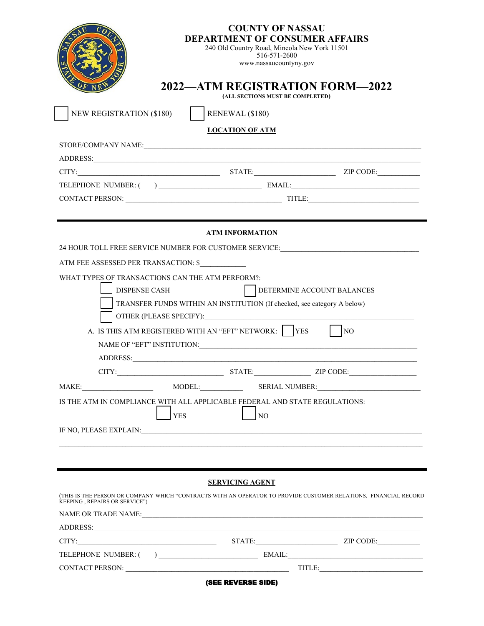| <b>COUNTY OF NASSAU</b><br><b>DEPARTMENT OF CONSUMER AFFAIRS</b><br>240 Old Country Road, Mineola New York 11501<br>516-571-2600<br>www.nassaucountyny.gov |                                                                                                                                                                                                                                |  |  |  |  |
|------------------------------------------------------------------------------------------------------------------------------------------------------------|--------------------------------------------------------------------------------------------------------------------------------------------------------------------------------------------------------------------------------|--|--|--|--|
|                                                                                                                                                            | 2022—ATM REGISTRATION FORM—2022<br>(ALL SECTIONS MUST BE COMPLETED)                                                                                                                                                            |  |  |  |  |
| <b>NEW REGISTRATION (\$180)</b><br>$\vert$ RENEWAL (\$180)                                                                                                 |                                                                                                                                                                                                                                |  |  |  |  |
| <b>LOCATION OF ATM</b>                                                                                                                                     |                                                                                                                                                                                                                                |  |  |  |  |
|                                                                                                                                                            |                                                                                                                                                                                                                                |  |  |  |  |
|                                                                                                                                                            |                                                                                                                                                                                                                                |  |  |  |  |
|                                                                                                                                                            |                                                                                                                                                                                                                                |  |  |  |  |
|                                                                                                                                                            |                                                                                                                                                                                                                                |  |  |  |  |
|                                                                                                                                                            |                                                                                                                                                                                                                                |  |  |  |  |
|                                                                                                                                                            |                                                                                                                                                                                                                                |  |  |  |  |
|                                                                                                                                                            | <b>ATM INFORMATION</b>                                                                                                                                                                                                         |  |  |  |  |
|                                                                                                                                                            | 24 HOUR TOLL FREE SERVICE NUMBER FOR CUSTOMER SERVICE:__________________________                                                                                                                                               |  |  |  |  |
| ATM FEE ASSESSED PER TRANSACTION: \$                                                                                                                       |                                                                                                                                                                                                                                |  |  |  |  |
| WHAT TYPES OF TRANSACTIONS CAN THE ATM PERFORM?:                                                                                                           |                                                                                                                                                                                                                                |  |  |  |  |
| <b>DISPENSE CASH</b><br><b>DETERMINE ACCOUNT BALANCES</b>                                                                                                  |                                                                                                                                                                                                                                |  |  |  |  |
| TRANSFER FUNDS WITHIN AN INSTITUTION (If checked, see category A below)                                                                                    |                                                                                                                                                                                                                                |  |  |  |  |
| OTHER (PLEASE SPECIFY):                                                                                                                                    |                                                                                                                                                                                                                                |  |  |  |  |
| A. IS THIS ATM REGISTERED WITH AN "EFT" NETWORK:   YES<br>$\overline{NQ}$                                                                                  |                                                                                                                                                                                                                                |  |  |  |  |
|                                                                                                                                                            |                                                                                                                                                                                                                                |  |  |  |  |
| ADDRESS:                                                                                                                                                   |                                                                                                                                                                                                                                |  |  |  |  |
| CITY:                                                                                                                                                      | ZIP CODE:                                                                                                                                                                                                                      |  |  |  |  |
|                                                                                                                                                            |                                                                                                                                                                                                                                |  |  |  |  |
| MODEL: SERIAL NUMBER:<br>MAKE:                                                                                                                             |                                                                                                                                                                                                                                |  |  |  |  |
|                                                                                                                                                            | IS THE ATM IN COMPLIANCE WITH ALL APPLICABLE FEDERAL AND STATE REGULATIONS:                                                                                                                                                    |  |  |  |  |
| <b>YES</b>                                                                                                                                                 | N <sub>O</sub>                                                                                                                                                                                                                 |  |  |  |  |
|                                                                                                                                                            | IF NO, PLEASE EXPLAIN: University of the Second Press, and the Second Press, and the Second Press, and the Second Press, and the Second Press, and the Second Press, and the Second Press, and the Second Press, and the Secon |  |  |  |  |
|                                                                                                                                                            |                                                                                                                                                                                                                                |  |  |  |  |
|                                                                                                                                                            |                                                                                                                                                                                                                                |  |  |  |  |
|                                                                                                                                                            |                                                                                                                                                                                                                                |  |  |  |  |
|                                                                                                                                                            | <b>SERVICING AGENT</b>                                                                                                                                                                                                         |  |  |  |  |
| KEEPING, REPAIRS OR SERVICE")                                                                                                                              | (THIS IS THE PERSON OR COMPANY WHICH "CONTRACTS WITH AN OPERATOR TO PROVIDE CUSTOMER RELATIONS, FINANCIAL RECORD                                                                                                               |  |  |  |  |
|                                                                                                                                                            |                                                                                                                                                                                                                                |  |  |  |  |
| ADDRESS:                                                                                                                                                   |                                                                                                                                                                                                                                |  |  |  |  |
|                                                                                                                                                            |                                                                                                                                                                                                                                |  |  |  |  |
|                                                                                                                                                            |                                                                                                                                                                                                                                |  |  |  |  |
|                                                                                                                                                            |                                                                                                                                                                                                                                |  |  |  |  |
|                                                                                                                                                            | (SEE REVERSE SIDE)                                                                                                                                                                                                             |  |  |  |  |